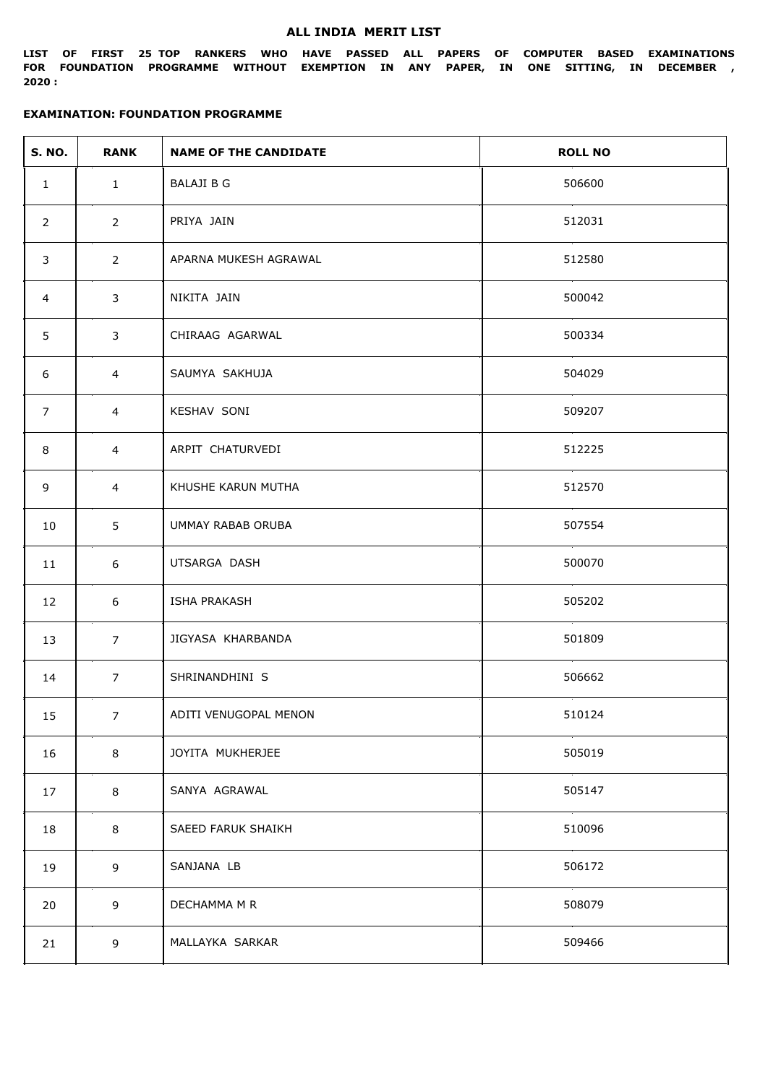#### **ALL INDIA MERIT LIST**

**LIST OF FIRST 25 TOP RANKERS WHO HAVE PASSED ALL PAPERS OF COMPUTER BASED EXAMINATIONS FOR FOUNDATION PROGRAMME WITHOUT EXEMPTION IN ANY PAPER, IN ONE SITTING, IN DECEMBER , 2020 :**

| <b>S. NO.</b>  | <b>RANK</b>    | <b>NAME OF THE CANDIDATE</b> | <b>ROLL NO</b> |
|----------------|----------------|------------------------------|----------------|
| $\mathbf{1}$   | $\mathbf{1}$   | <b>BALAJI B G</b>            | 506600         |
| $\overline{2}$ | $2^{\circ}$    | PRIYA JAIN                   | 512031         |
| 3              | $2^{\circ}$    | APARNA MUKESH AGRAWAL        | 512580         |
| 4              | 3              | NIKITA JAIN                  | 500042         |
| 5              | 3              | CHIRAAG AGARWAL              | 500334         |
| 6              | $\overline{4}$ | SAUMYA SAKHUJA               | 504029         |
| 7              | 4              | KESHAV SONI                  | 509207         |
| 8              | 4              | ARPIT CHATURVEDI             | 512225         |
| 9              | 4              | KHUSHE KARUN MUTHA           | 512570         |
| 10             | 5              | UMMAY RABAB ORUBA            | 507554         |
| 11             | 6              | UTSARGA DASH                 | 500070         |
| 12             | 6              | <b>ISHA PRAKASH</b>          | 505202         |
| 13             | $\overline{7}$ | JIGYASA KHARBANDA            | 501809         |
| 14             | $\overline{7}$ | SHRINANDHINI S               | 506662         |
| 15             | 7 <sup>7</sup> | ADITI VENUGOPAL MENON        | 510124         |
| 16             | 8              | JOYITA MUKHERJEE             | 505019         |
| 17             | 8              | SANYA AGRAWAL                | 505147         |
| 18             | 8              | SAEED FARUK SHAIKH           | 510096         |
| 19             | 9              | SANJANA LB                   | 506172         |
| 20             | 9              | DECHAMMA M R                 | 508079         |
| 21             | 9              | MALLAYKA SARKAR              | 509466         |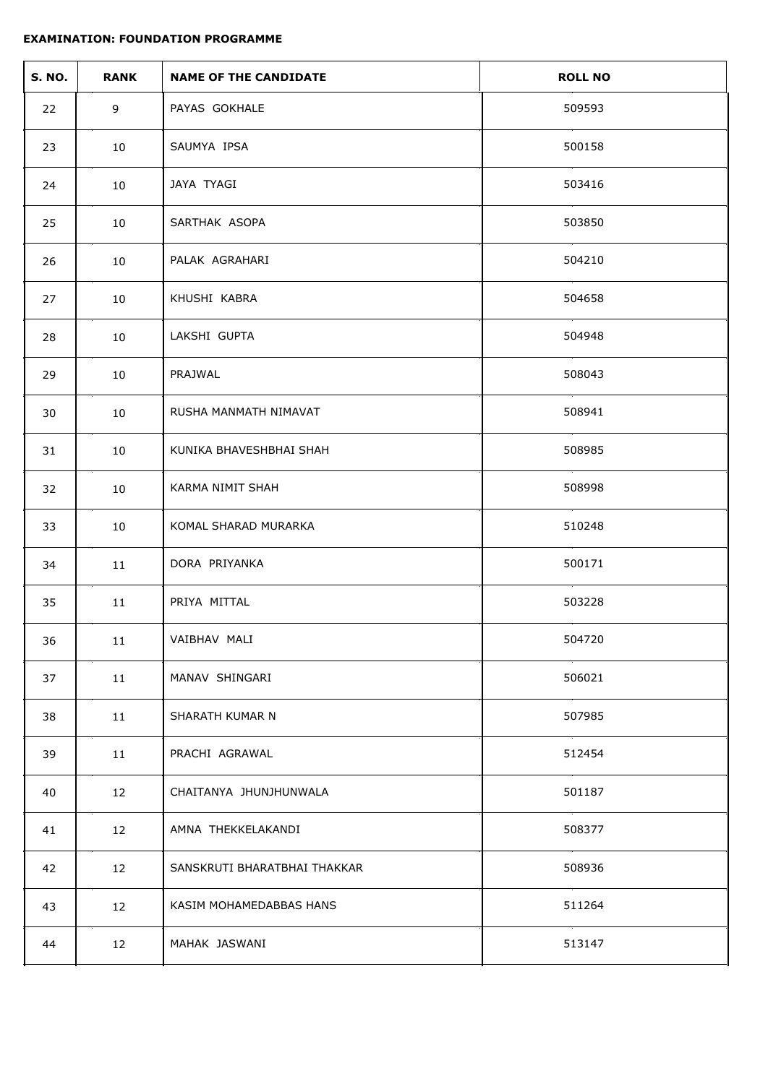| <b>S. NO.</b> | <b>RANK</b> | <b>NAME OF THE CANDIDATE</b> | <b>ROLL NO</b> |
|---------------|-------------|------------------------------|----------------|
| 22            | 9           | PAYAS GOKHALE                | 509593         |
| 23            | 10          | SAUMYA IPSA                  | 500158         |
| 24            | 10          | JAYA TYAGI                   | 503416         |
| 25            | 10          | SARTHAK ASOPA                | 503850         |
| 26            | 10          | PALAK AGRAHARI               | 504210         |
| 27            | 10          | KHUSHI KABRA                 | 504658         |
| 28            | 10          | LAKSHI GUPTA                 | 504948         |
| 29            | 10          | PRAJWAL                      | 508043         |
| 30            | 10          | RUSHA MANMATH NIMAVAT        | 508941         |
| 31            | 10          | KUNIKA BHAVESHBHAI SHAH      | 508985         |
| 32            | 10          | KARMA NIMIT SHAH             | 508998         |
| 33            | 10          | KOMAL SHARAD MURARKA         | 510248         |
| 34            | 11          | DORA PRIYANKA                | 500171         |
| 35            | 11          | PRIYA MITTAL                 | 503228         |
| 36            | 11          | VAIBHAV MALI                 | 504720         |
| 37            | 11          | MANAV SHINGARI               | 506021         |
| 38            | 11          | SHARATH KUMAR N              | 507985         |
| 39            | 11          | PRACHI AGRAWAL               | 512454         |
| 40            | 12          | CHAITANYA JHUNJHUNWALA       | 501187         |
| 41            | 12          | AMNA THEKKELAKANDI           | 508377         |
| 42            | 12          | SANSKRUTI BHARATBHAI THAKKAR | 508936         |
| 43            | 12          | KASIM MOHAMEDABBAS HANS      | 511264         |
| 44            | 12          | MAHAK JASWANI                | 513147         |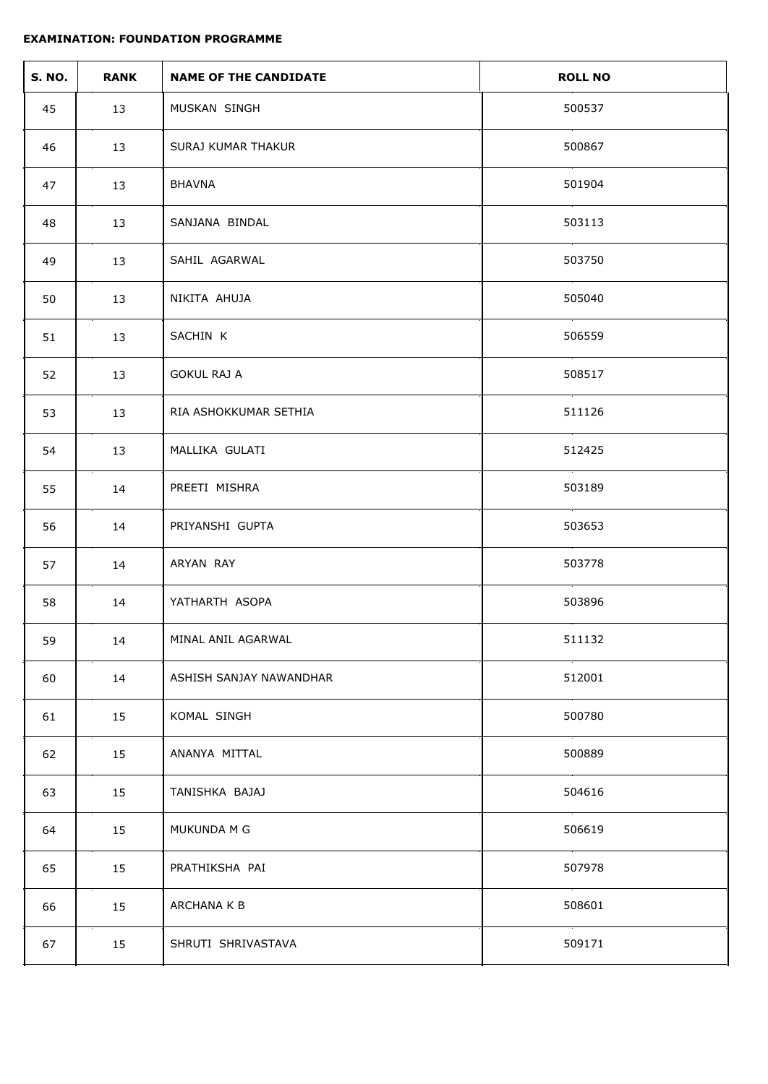| <b>S. NO.</b> | <b>RANK</b> | <b>NAME OF THE CANDIDATE</b> | <b>ROLL NO</b> |
|---------------|-------------|------------------------------|----------------|
| 45            | 13          | MUSKAN SINGH                 | 500537         |
| 46            | 13          | SURAJ KUMAR THAKUR           | 500867         |
| 47            | 13          | <b>BHAVNA</b>                | 501904         |
| 48            | 13          | SANJANA BINDAL               | 503113         |
| 49            | 13          | SAHIL AGARWAL                | 503750         |
| 50            | 13          | NIKITA AHUJA                 | 505040         |
| 51            | 13          | SACHIN K                     | 506559         |
| 52            | 13          | <b>GOKUL RAJ A</b>           | 508517         |
| 53            | 13          | RIA ASHOKKUMAR SETHIA        | 511126         |
| 54            | 13          | MALLIKA GULATI               | 512425         |
| 55            | 14          | PREETI MISHRA                | 503189         |
| 56            | 14          | PRIYANSHI GUPTA              | 503653         |
| 57            | 14          | ARYAN RAY                    | 503778         |
| 58            | 14          | YATHARTH ASOPA               | 503896         |
| 59            | 14          | MINAL ANIL AGARWAL           | 511132         |
| 60            | 14          | ASHISH SANJAY NAWANDHAR      | 512001         |
| 61            | 15          | KOMAL SINGH                  | 500780         |
| 62            | 15          | ANANYA MITTAL                | 500889         |
| 63            | 15          | TANISHKA BAJAJ               | 504616         |
| 64            | 15          | MUKUNDA M G                  | 506619         |
| 65            | 15          | PRATHIKSHA PAI               | 507978         |
| 66            | 15          | ARCHANA K B                  | 508601         |
| 67            | 15          | SHRUTI SHRIVASTAVA           | 509171         |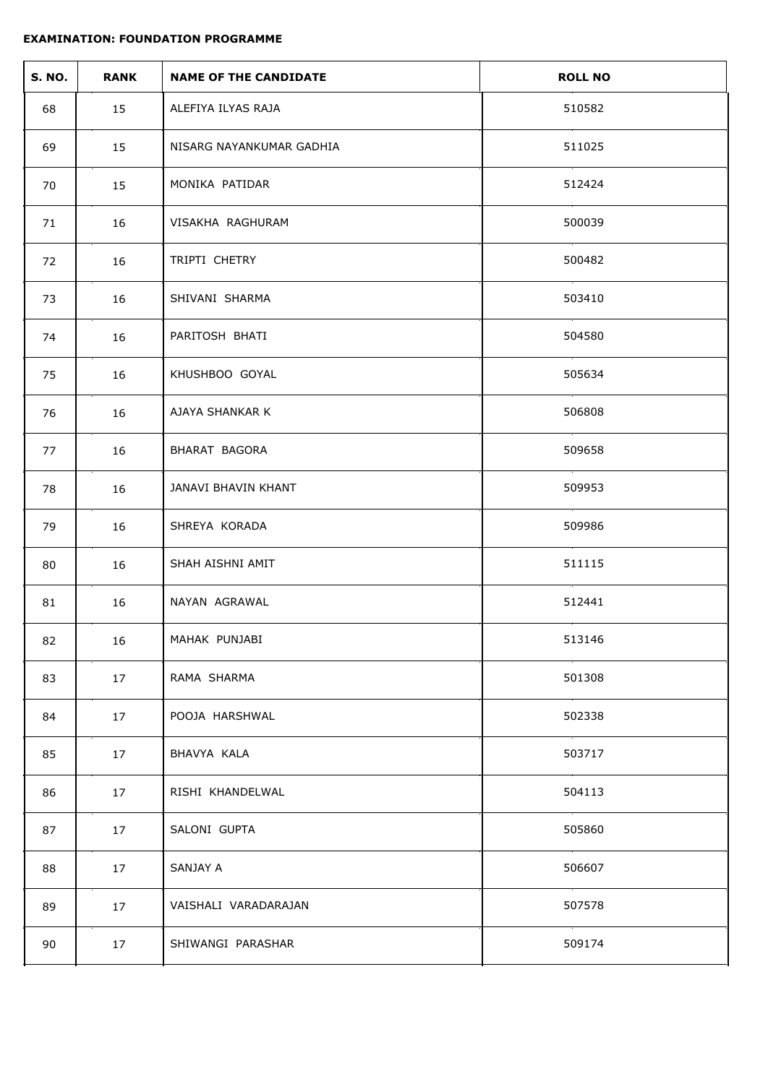| <b>S. NO.</b> | <b>RANK</b> | <b>NAME OF THE CANDIDATE</b> | <b>ROLL NO</b> |
|---------------|-------------|------------------------------|----------------|
| 68            | 15          | ALEFIYA ILYAS RAJA           | 510582         |
| 69            | 15          | NISARG NAYANKUMAR GADHIA     | 511025         |
| 70            | 15          | MONIKA PATIDAR               | 512424         |
| 71            | 16          | VISAKHA RAGHURAM             | 500039         |
| 72            | 16          | TRIPTI CHETRY                | 500482         |
| 73            | 16          | SHIVANI SHARMA               | 503410         |
| 74            | 16          | PARITOSH BHATI               | 504580         |
| 75            | 16          | KHUSHBOO GOYAL               | 505634         |
| 76            | 16          | AJAYA SHANKAR K              | 506808         |
| 77            | 16          | BHARAT BAGORA                | 509658         |
| 78            | 16          | JANAVI BHAVIN KHANT          | 509953         |
| 79            | 16          | SHREYA KORADA                | 509986         |
| 80            | 16          | SHAH AISHNI AMIT             | 511115         |
| 81            | 16          | NAYAN AGRAWAL                | 512441         |
| 82            | 16          | MAHAK PUNJABI                | 513146         |
| 83            | 17          | RAMA SHARMA                  | 501308         |
| 84            | 17          | POOJA HARSHWAL               | 502338         |
| 85            | 17          | BHAVYA KALA                  | 503717         |
| 86            | 17          | RISHI KHANDELWAL             | 504113         |
| 87            | 17          | SALONI GUPTA                 | 505860         |
| 88            | 17          | SANJAY A                     | 506607         |
| 89            | 17          | VAISHALI VARADARAJAN         | 507578         |
| 90            | 17          | SHIWANGI PARASHAR            | 509174         |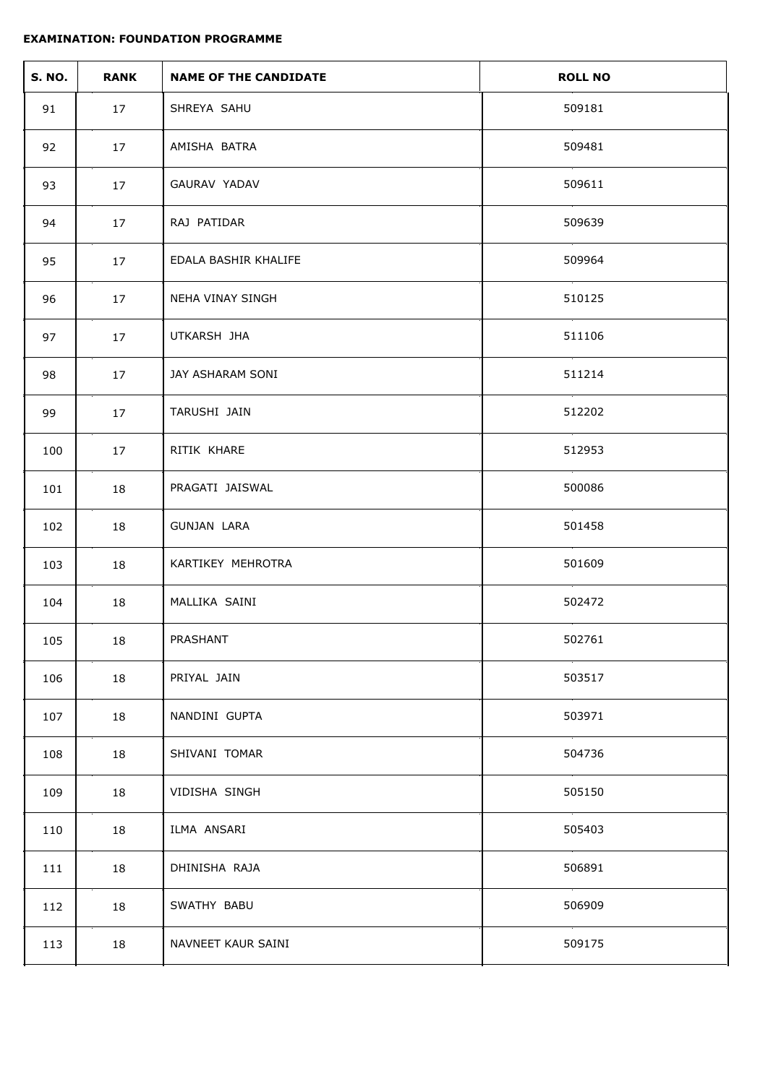| <b>S. NO.</b> | <b>RANK</b> | <b>NAME OF THE CANDIDATE</b> | <b>ROLL NO</b> |
|---------------|-------------|------------------------------|----------------|
| 91            | 17          | SHREYA SAHU                  | 509181         |
| 92            | 17          | AMISHA BATRA                 | 509481         |
| 93            | 17          | GAURAV YADAV                 | 509611         |
| 94            | 17          | RAJ PATIDAR                  | 509639         |
| 95            | 17          | EDALA BASHIR KHALIFE         | 509964         |
| 96            | 17          | NEHA VINAY SINGH             | 510125         |
| 97            | 17          | UTKARSH JHA                  | 511106         |
| 98            | 17          | JAY ASHARAM SONI             | 511214         |
| 99            | 17          | TARUSHI JAIN                 | 512202         |
| 100           | 17          | RITIK KHARE                  | 512953         |
| 101           | 18          | PRAGATI JAISWAL              | 500086         |
| 102           | 18          | GUNJAN LARA                  | 501458         |
| 103           | 18          | KARTIKEY MEHROTRA            | 501609         |
| 104           | 18          | MALLIKA SAINI                | 502472         |
| 105           | 18          | PRASHANT                     | 502761         |
| 106           | 18          | PRIYAL JAIN                  | 503517         |
| 107           | 18          | NANDINI GUPTA                | 503971         |
| 108           | 18          | SHIVANI TOMAR                | 504736         |
| 109           | 18          | VIDISHA SINGH                | 505150         |
| 110           | 18          | ILMA ANSARI                  | 505403         |
| 111           | 18          | DHINISHA RAJA                | 506891         |
| 112           | 18          | SWATHY BABU                  | 506909         |
| 113           | 18          | NAVNEET KAUR SAINI           | 509175         |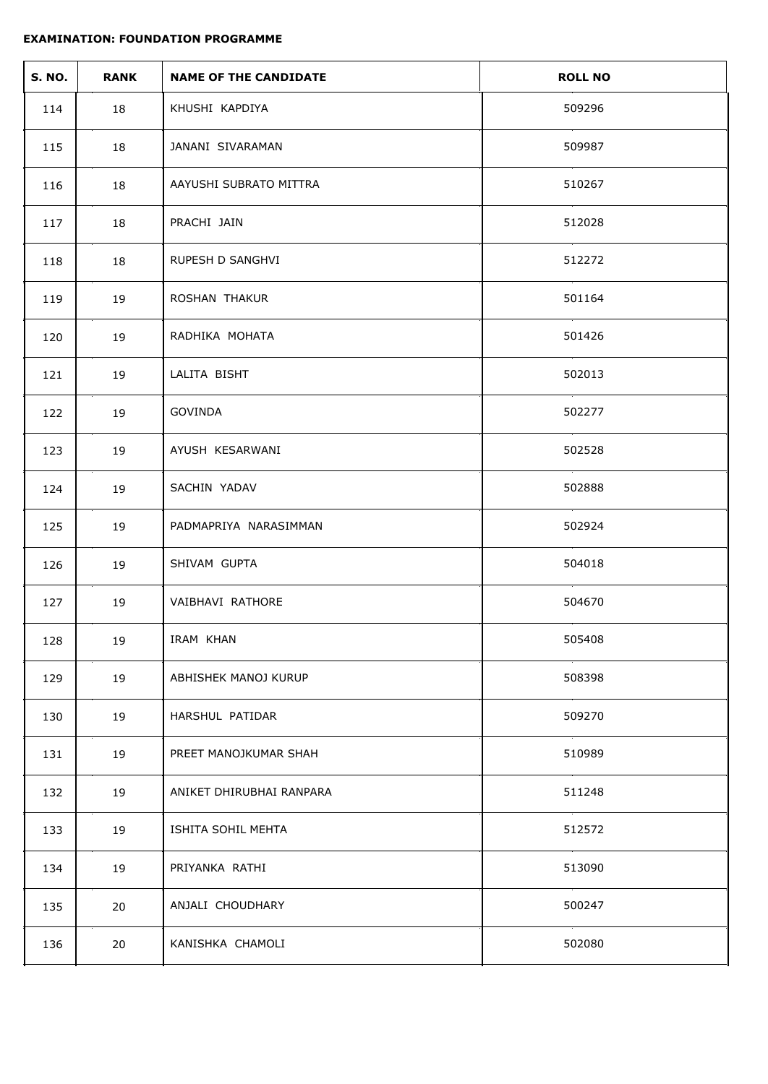| <b>S. NO.</b> | <b>RANK</b> | <b>NAME OF THE CANDIDATE</b> | <b>ROLL NO</b> |
|---------------|-------------|------------------------------|----------------|
| 114           | 18          | KHUSHI KAPDIYA               | 509296         |
| 115           | 18          | JANANI SIVARAMAN             | 509987         |
| 116           | 18          | AAYUSHI SUBRATO MITTRA       | 510267         |
| 117           | 18          | PRACHI JAIN                  | 512028         |
| 118           | 18          | RUPESH D SANGHVI             | 512272         |
| 119           | 19          | ROSHAN THAKUR                | 501164         |
| 120           | 19          | RADHIKA MOHATA               | 501426         |
| 121           | 19          | LALITA BISHT                 | 502013         |
| 122           | 19          | GOVINDA                      | 502277         |
| 123           | 19          | AYUSH KESARWANI              | 502528         |
| 124           | 19          | SACHIN YADAV                 | 502888         |
| 125           | 19          | PADMAPRIYA NARASIMMAN        | 502924         |
| 126           | 19          | SHIVAM GUPTA                 | 504018         |
| 127           | 19          | VAIBHAVI RATHORE             | 504670         |
| 128           | 19          | IRAM KHAN                    | 505408         |
| 129           | 19          | ABHISHEK MANOJ KURUP         | 508398         |
| 130           | 19          | HARSHUL PATIDAR              | 509270         |
| 131           | 19          | PREET MANOJKUMAR SHAH        | 510989         |
| 132           | 19          | ANIKET DHIRUBHAI RANPARA     | 511248         |
| 133           | 19          | ISHITA SOHIL MEHTA           | 512572         |
| 134           | 19          | PRIYANKA RATHI               | 513090         |
| 135           | 20          | ANJALI CHOUDHARY             | 500247         |
| 136           | 20          | KANISHKA CHAMOLI             | 502080         |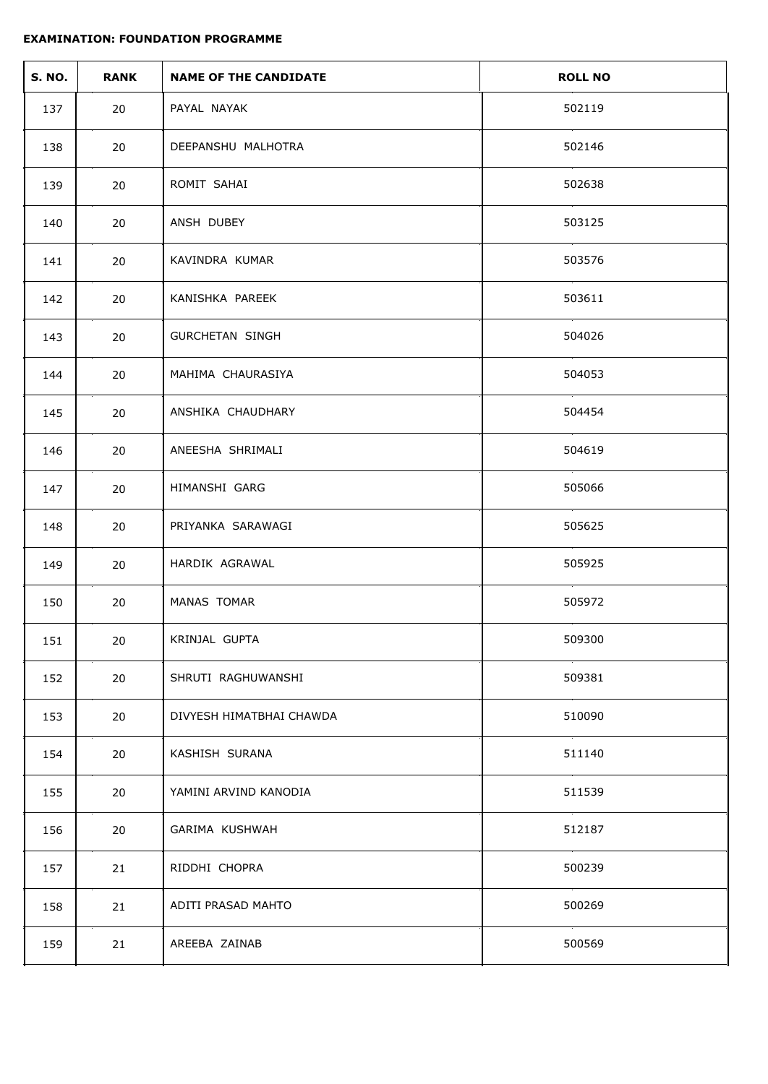| <b>S. NO.</b> | <b>RANK</b> | <b>NAME OF THE CANDIDATE</b> | <b>ROLL NO</b> |
|---------------|-------------|------------------------------|----------------|
| 137           | 20          | PAYAL NAYAK                  | 502119         |
| 138           | 20          | DEEPANSHU MALHOTRA           | 502146         |
| 139           | 20          | ROMIT SAHAI                  | 502638         |
| 140           | 20          | ANSH DUBEY                   | 503125         |
| 141           | 20          | KAVINDRA KUMAR               | 503576         |
| 142           | 20          | KANISHKA PAREEK              | 503611         |
| 143           | 20          | <b>GURCHETAN SINGH</b>       | 504026         |
| 144           | 20          | MAHIMA CHAURASIYA            | 504053         |
| 145           | 20          | ANSHIKA CHAUDHARY            | 504454         |
| 146           | 20          | ANEESHA SHRIMALI             | 504619         |
| 147           | 20          | HIMANSHI GARG                | 505066         |
| 148           | 20          | PRIYANKA SARAWAGI            | 505625         |
| 149           | 20          | HARDIK AGRAWAL               | 505925         |
| 150           | 20          | MANAS TOMAR                  | 505972         |
| 151           | 20          | KRINJAL GUPTA                | 509300         |
| 152           | 20          | SHRUTI RAGHUWANSHI           | 509381         |
| 153           | 20          | DIVYESH HIMATBHAI CHAWDA     | 510090         |
| 154           | 20          | KASHISH SURANA               | 511140         |
| 155           | 20          | YAMINI ARVIND KANODIA        | 511539         |
| 156           | 20          | GARIMA KUSHWAH               | 512187         |
| 157           | 21          | RIDDHI CHOPRA                | 500239         |
| 158           | 21          | ADITI PRASAD MAHTO           | 500269         |
| 159           | 21          | AREEBA ZAINAB                | 500569         |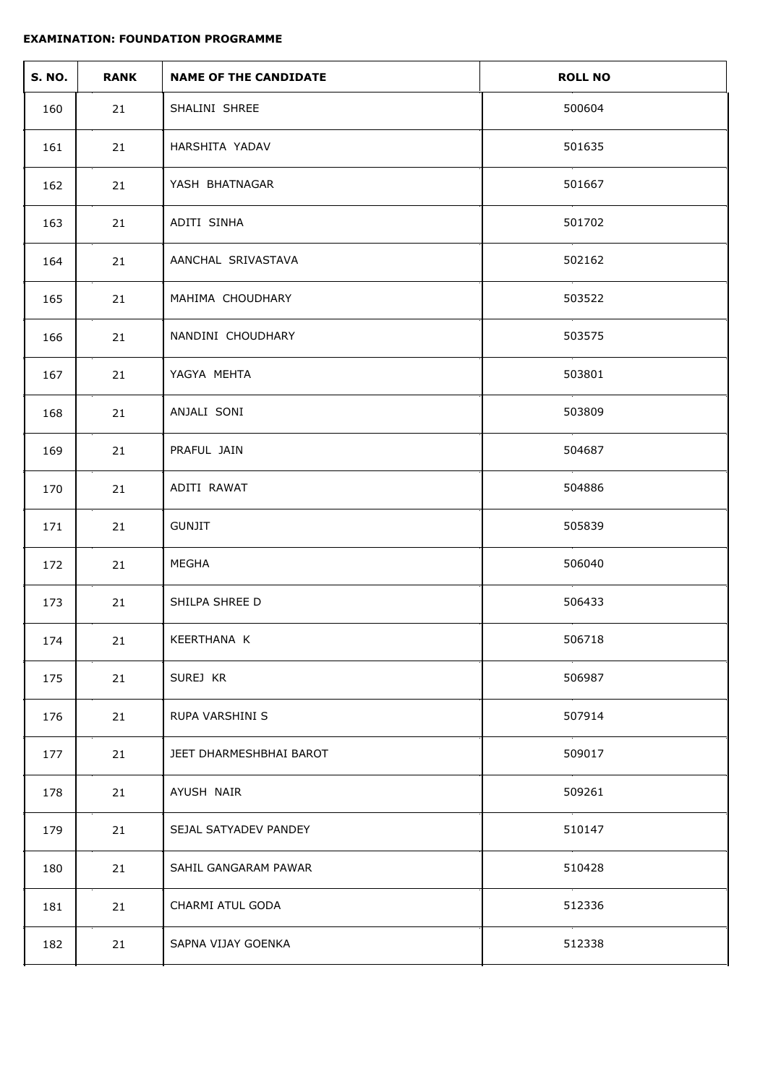| <b>S. NO.</b> | <b>RANK</b> | <b>NAME OF THE CANDIDATE</b> | <b>ROLL NO</b> |
|---------------|-------------|------------------------------|----------------|
| 160           | 21          | SHALINI SHREE                | 500604         |
| 161           | 21          | HARSHITA YADAV               | 501635         |
| 162           | 21          | YASH BHATNAGAR               | 501667         |
| 163           | 21          | ADITI SINHA                  | 501702         |
| 164           | 21          | AANCHAL SRIVASTAVA           | 502162         |
| 165           | 21          | MAHIMA CHOUDHARY             | 503522         |
| 166           | 21          | NANDINI CHOUDHARY            | 503575         |
| 167           | 21          | YAGYA MEHTA                  | 503801         |
| 168           | 21          | ANJALI SONI                  | 503809         |
| 169           | 21          | PRAFUL JAIN                  | 504687         |
| 170           | 21          | ADITI RAWAT                  | 504886         |
| 171           | 21          | <b>GUNJIT</b>                | 505839         |
| 172           | 21          | MEGHA                        | 506040         |
| 173           | 21          | SHILPA SHREE D               | 506433         |
| 174           | 21          | KEERTHANA K                  | 506718         |
| 175           | 21          | SUREJ KR                     | 506987         |
| 176           | 21          | RUPA VARSHINI S              | 507914         |
| 177           | 21          | JEET DHARMESHBHAI BAROT      | 509017         |
| 178           | 21          | AYUSH NAIR                   | 509261         |
| 179           | 21          | SEJAL SATYADEV PANDEY        | 510147         |
| 180           | 21          | SAHIL GANGARAM PAWAR         | 510428         |
| 181           | 21          | CHARMI ATUL GODA             | 512336         |
| 182           | 21          | SAPNA VIJAY GOENKA           | 512338         |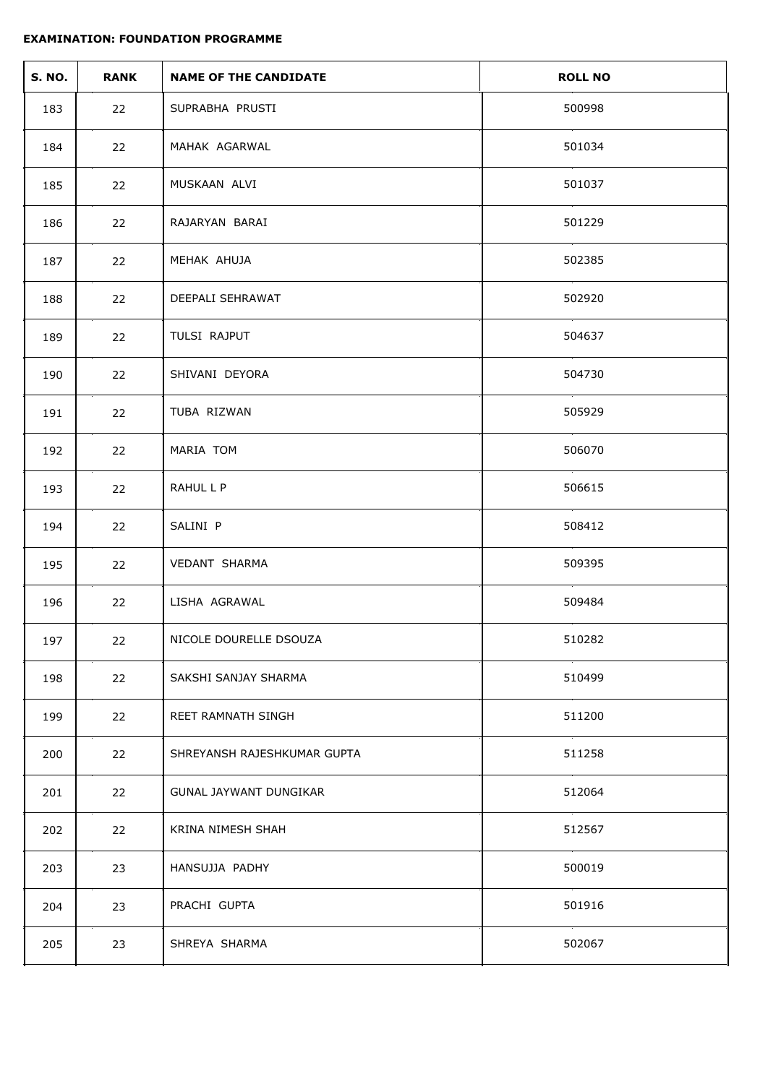| <b>S. NO.</b> | <b>RANK</b> | <b>NAME OF THE CANDIDATE</b> | <b>ROLL NO</b> |
|---------------|-------------|------------------------------|----------------|
| 183           | 22          | SUPRABHA PRUSTI              | 500998         |
| 184           | 22          | MAHAK AGARWAL                | 501034         |
| 185           | 22          | MUSKAAN ALVI                 | 501037         |
| 186           | 22          | RAJARYAN BARAI               | 501229         |
| 187           | 22          | MEHAK AHUJA                  | 502385         |
| 188           | 22          | DEEPALI SEHRAWAT             | 502920         |
| 189           | 22          | TULSI RAJPUT                 | 504637         |
| 190           | 22          | SHIVANI DEYORA               | 504730         |
| 191           | 22          | TUBA RIZWAN                  | 505929         |
| 192           | 22          | MARIA TOM                    | 506070         |
| 193           | 22          | RAHUL L P                    | 506615         |
| 194           | 22          | SALINI P                     | 508412         |
| 195           | 22          | VEDANT SHARMA                | 509395         |
| 196           | 22          | LISHA AGRAWAL                | 509484         |
| 197           | 22          | NICOLE DOURELLE DSOUZA       | 510282         |
| 198           | 22          | SAKSHI SANJAY SHARMA         | 510499         |
| 199           | 22          | REET RAMNATH SINGH           | 511200         |
| 200           | 22          | SHREYANSH RAJESHKUMAR GUPTA  | 511258         |
| 201           | 22          | GUNAL JAYWANT DUNGIKAR       | 512064         |
| 202           | 22          | KRINA NIMESH SHAH            | 512567         |
| 203           | 23          | HANSUJJA PADHY               | 500019         |
| 204           | 23          | PRACHI GUPTA                 | 501916         |
| 205           | 23          | SHREYA SHARMA                | 502067         |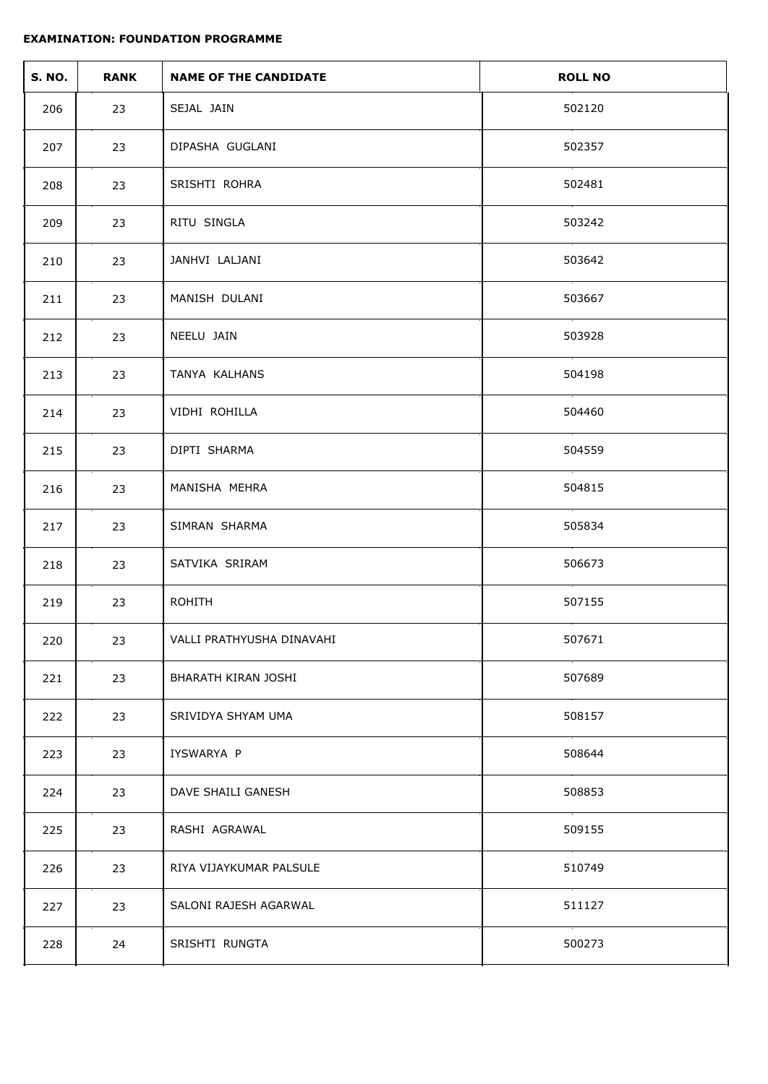| <b>S. NO.</b> | <b>RANK</b> | <b>NAME OF THE CANDIDATE</b> | <b>ROLL NO</b> |
|---------------|-------------|------------------------------|----------------|
| 206           | 23          | SEJAL JAIN                   | 502120         |
| 207           | 23          | DIPASHA GUGLANI              | 502357         |
| 208           | 23          | SRISHTI ROHRA                | 502481         |
| 209           | 23          | RITU SINGLA                  | 503242         |
| 210           | 23          | JANHVI LALJANI               | 503642         |
| 211           | 23          | MANISH DULANI                | 503667         |
| 212           | 23          | NEELU JAIN                   | 503928         |
| 213           | 23          | TANYA KALHANS                | 504198         |
| 214           | 23          | VIDHI ROHILLA                | 504460         |
| 215           | 23          | DIPTI SHARMA                 | 504559         |
| 216           | 23          | MANISHA MEHRA                | 504815         |
| 217           | 23          | SIMRAN SHARMA                | 505834         |
| 218           | 23          | SATVIKA SRIRAM               | 506673         |
| 219           | 23          | <b>ROHITH</b>                | 507155         |
| 220           | 23          | VALLI PRATHYUSHA DINAVAHI    | 507671         |
| 221           | 23          | BHARATH KIRAN JOSHI          | 507689         |
| 222           | 23          | SRIVIDYA SHYAM UMA           | 508157         |
| 223           | 23          | IYSWARYA P                   | 508644         |
| 224           | 23          | DAVE SHAILI GANESH           | 508853         |
| 225           | 23          | RASHI AGRAWAL                | 509155         |
| 226           | 23          | RIYA VIJAYKUMAR PALSULE      | 510749         |
| 227           | 23          | SALONI RAJESH AGARWAL        | 511127         |
| 228           | 24          | SRISHTI RUNGTA               | 500273         |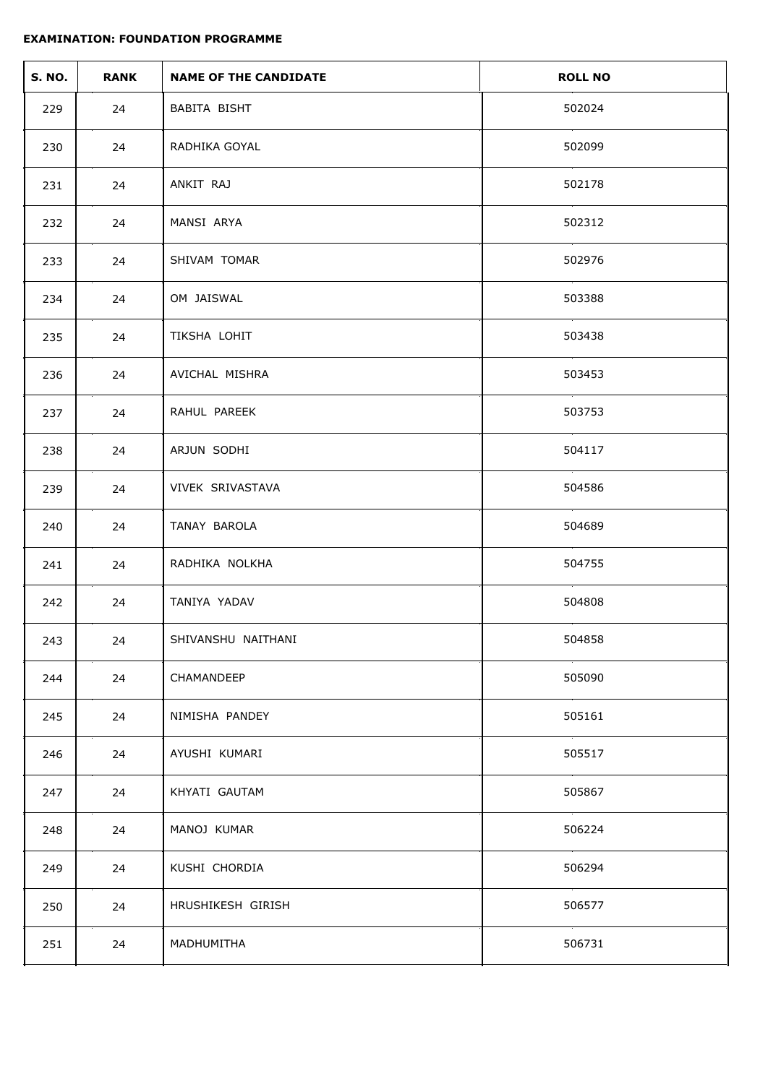| <b>S. NO.</b> | <b>RANK</b> | <b>NAME OF THE CANDIDATE</b> | <b>ROLL NO</b> |
|---------------|-------------|------------------------------|----------------|
| 229           | 24          | BABITA BISHT                 | 502024         |
| 230           | 24          | RADHIKA GOYAL                | 502099         |
| 231           | 24          | ANKIT RAJ                    | 502178         |
| 232           | 24          | MANSI ARYA                   | 502312         |
| 233           | 24          | SHIVAM TOMAR                 | 502976         |
| 234           | 24          | OM JAISWAL                   | 503388         |
| 235           | 24          | TIKSHA LOHIT                 | 503438         |
| 236           | 24          | AVICHAL MISHRA               | 503453         |
| 237           | 24          | RAHUL PAREEK                 | 503753         |
| 238           | 24          | ARJUN SODHI                  | 504117         |
| 239           | 24          | VIVEK SRIVASTAVA             | 504586         |
| 240           | 24          | TANAY BAROLA                 | 504689         |
| 241           | 24          | RADHIKA NOLKHA               | 504755         |
| 242           | 24          | TANIYA YADAV                 | 504808         |
| 243           | 24          | SHIVANSHU NAITHANI           | 504858         |
| 244           | 24          | CHAMANDEEP                   | 505090         |
| 245           | 24          | NIMISHA PANDEY               | 505161         |
| 246           | 24          | AYUSHI KUMARI                | 505517         |
| 247           | 24          | KHYATI GAUTAM                | 505867         |
| 248           | 24          | MANOJ KUMAR                  | 506224         |
| 249           | 24          | KUSHI CHORDIA                | 506294         |
| 250           | 24          | HRUSHIKESH GIRISH            | 506577         |
| 251           | 24          | MADHUMITHA                   | 506731         |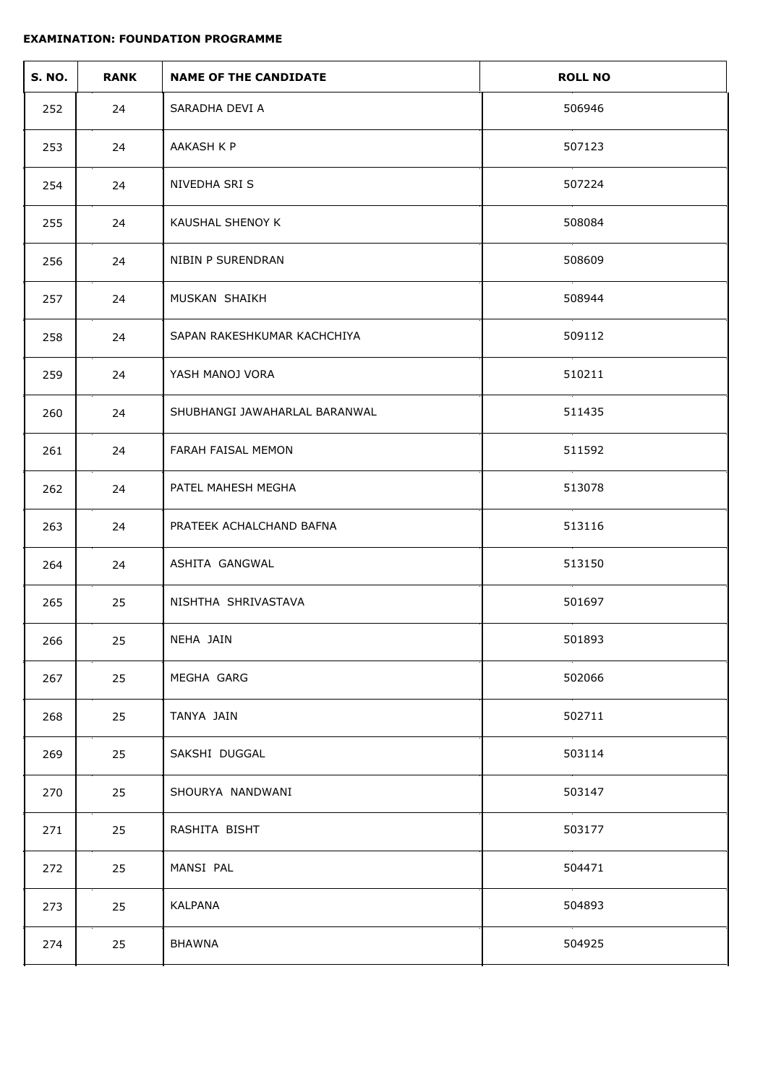| <b>S. NO.</b> | <b>RANK</b> | <b>NAME OF THE CANDIDATE</b>  | <b>ROLL NO</b> |
|---------------|-------------|-------------------------------|----------------|
| 252           | 24          | SARADHA DEVI A                | 506946         |
| 253           | 24          | AAKASH K P                    | 507123         |
| 254           | 24          | NIVEDHA SRI S                 | 507224         |
| 255           | 24          | KAUSHAL SHENOY K              | 508084         |
| 256           | 24          | NIBIN P SURENDRAN             | 508609         |
| 257           | 24          | MUSKAN SHAIKH                 | 508944         |
| 258           | 24          | SAPAN RAKESHKUMAR KACHCHIYA   | 509112         |
| 259           | 24          | YASH MANOJ VORA               | 510211         |
| 260           | 24          | SHUBHANGI JAWAHARLAL BARANWAL | 511435         |
| 261           | 24          | FARAH FAISAL MEMON            | 511592         |
| 262           | 24          | PATEL MAHESH MEGHA            | 513078         |
| 263           | 24          | PRATEEK ACHALCHAND BAFNA      | 513116         |
| 264           | 24          | ASHITA GANGWAL                | 513150         |
| 265           | 25          | NISHTHA SHRIVASTAVA           | 501697         |
| 266           | 25          | NEHA JAIN                     | 501893         |
| 267           | 25          | MEGHA GARG                    | 502066         |
| 268           | 25          | TANYA JAIN                    | 502711         |
| 269           | 25          | SAKSHI DUGGAL                 | 503114         |
| 270           | 25          | SHOURYA NANDWANI              | 503147         |
| 271           | 25          | RASHITA BISHT                 | 503177         |
| 272           | 25          | MANSI PAL                     | 504471         |
| 273           | 25          | KALPANA                       | 504893         |
| 274           | 25          | <b>BHAWNA</b>                 | 504925         |